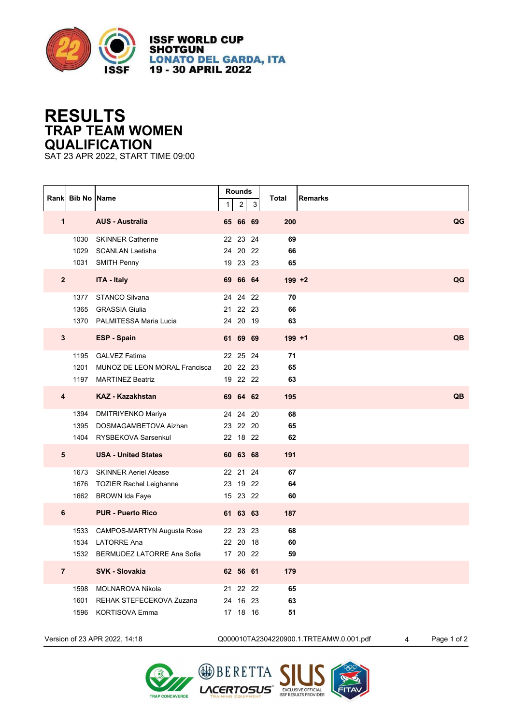

**ISSF WORLD CUP SHOTGUN LONATO DEL GARDA, ITA** 19 - 30 APRIL 2022

## **RESULTS TRAP TEAM WOMEN QUALIFICATION**

SAT 23 APR 2022, START TIME 09:00

|                         | Rank Bib No Name |                                    | $\mathbf{1}$ | <b>Rounds</b><br>$\overline{2}$ | $\mathbf{3}$ | <b>Total</b> | <b>Remarks</b> |
|-------------------------|------------------|------------------------------------|--------------|---------------------------------|--------------|--------------|----------------|
| $\mathbf{1}$            |                  | <b>AUS - Australia</b>             |              | 65 66 69                        |              | 200          | QG             |
|                         |                  | 1030 SKINNER Catherine             |              | 22 23                           | 24           | 69           |                |
|                         |                  | 1029 SCANLAN Laetisha              |              | 24 20 22                        |              | 66           |                |
|                         |                  | 1031 SMITH Penny                   |              | 19 23 23                        |              | 65           |                |
| $\overline{2}$          |                  | <b>ITA - Italy</b>                 |              | 69 66 64                        |              | $199 + 2$    | QG             |
|                         |                  | 1377 STANCO Silvana                |              | 24 24 22                        |              | 70           |                |
|                         |                  | 1365 GRASSIA Giulia                |              | 21 22 23                        |              | 66           |                |
|                         |                  | 1370 PALMITESSA Maria Lucia        |              | 24 20 19                        |              | 63           |                |
| $\mathbf{3}$            |                  | <b>ESP - Spain</b>                 |              | 61 69 69                        |              | $199 + 1$    | QB             |
|                         |                  | 1195 GALVEZ Fatima                 |              | 22 25 24                        |              | 71           |                |
|                         |                  | 1201 MUNOZ DE LEON MORAL Francisca |              | 20 22 23                        |              | 65           |                |
|                         |                  | 1197 MARTINEZ Beatriz              |              | 19 22 22                        |              | 63           |                |
| $\overline{\mathbf{4}}$ |                  | <b>KAZ - Kazakhstan</b>            |              | 69 64 62                        |              | 195          | QB             |
|                         |                  | 1394 DMITRIYENKO Mariya            |              | 24 24 20                        |              | 68           |                |
|                         |                  | 1395 DOSMAGAMBETOVA Aizhan         |              | 23 22 20                        |              | 65           |                |
|                         |                  | 1404 RYSBEKOVA Sarsenkul           |              | 22 18 22                        |              | 62           |                |
| $5\phantom{1}$          |                  | <b>USA - United States</b>         |              | 60 63 68                        |              | 191          |                |
|                         |                  | 1673 SKINNER Aeriel Alease         |              | 22 21 24                        |              | 67           |                |
|                         |                  | 1676 TOZIER Rachel Leighanne       |              | 23 19 22                        |              | 64           |                |
|                         |                  | 1662 BROWN Ida Faye                |              | 15 23 22                        |              | 60           |                |
| 6                       |                  | <b>PUR - Puerto Rico</b>           |              | 61 63 63                        |              | 187          |                |
|                         |                  | 1533 CAMPOS-MARTYN Augusta Rose    |              | 22 23 23                        |              | 68           |                |
|                         | 1534             | LATORRE Ana                        |              | 22 20 18                        |              | 60           |                |
|                         |                  | 1532 BERMUDEZ LATORRE Ana Sofia    |              | 17 20 22                        |              | 59           |                |
| $\overline{7}$          |                  | <b>SVK - Slovakia</b>              |              | 62 56 61                        |              | 179          |                |
|                         |                  | 1598 MOLNAROVA Nikola              |              | 21 22 22                        |              | 65           |                |
|                         | 1601             | REHAK STEFECEKOVA Zuzana           |              | 24 16 23                        |              | 63           |                |
|                         | 1596             | KORTISOVA Emma                     |              | 17 18 16                        |              | 51           |                |

Version of 23 APR 2022, 14:18 Q000010TA2304220900.1.TRTEAMW.0.001.pdf 4 Page 1 of 2